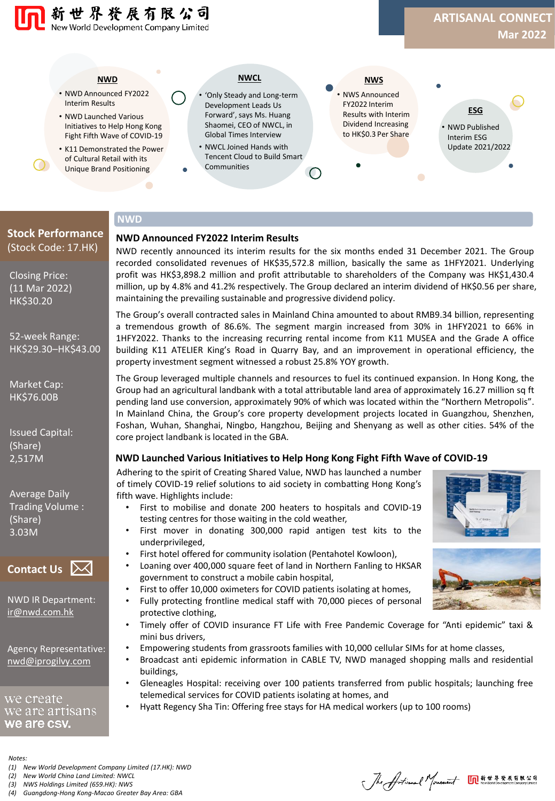#### **NWD**

新世界资展有限公司 New World Development Company Limited

- NWD Announced FY2022 Interim Results
- NWD Launched Various Initiatives to Help Hong Kong Fight Fifth Wave of COVID-19
- K11 Demonstrated the Power of Cultural Retail with its Unique Brand Positioning

### **NWCL**

- 'Only Steady and Long-term Development Leads Us Forward', says Ms. Huang Shaomei, CEO of NWCL, in Global Times Interview • NWCL Joined Hands with
- Tencent Cloud to Build Smart **Communities**
- NWS Announced FY2022 Interim Results with Interim Dividend Increasing to HK\$0.3 Per Share **NWS**
- NWD Published Interim ESG Update 2021/2022 **ESG**

## **NWD**

#### **NWD Announced FY2022 Interim Results**

NWD recently announced its interim results for the six months ended 31 December 2021. The Group recorded consolidated revenues of HK\$35,572.8 million, basically the same as 1HFY2021. Underlying profit was HK\$3,898.2 million and profit attributable to shareholders of the Company was HK\$1,430.4 million, up by 4.8% and 41.2% respectively. The Group declared an interim dividend of HK\$0.56 per share, maintaining the prevailing sustainable and progressive dividend policy.

The Group's overall contracted sales in Mainland China amounted to about RMB9.34 billion, representing a tremendous growth of 86.6%. The segment margin increased from 30% in 1HFY2021 to 66% in 1HFY2022. Thanks to the increasing recurring rental income from K11 MUSEA and the Grade A office building K11 ATELIER King's Road in Quarry Bay, and an improvement in operational efficiency, the property investment segment witnessed a robust 25.8% YOY growth.

The Group leveraged multiple channels and resources to fuel its continued expansion. In Hong Kong, the Group had an agricultural landbank with a total attributable land area of approximately 16.27 million sq ft pending land use conversion, approximately 90% of which was located within the "Northern Metropolis". In Mainland China, the Group's core property development projects located in Guangzhou, Shenzhen, Foshan, Wuhan, Shanghai, Ningbo, Hangzhou, Beijing and Shenyang as well as other cities. 54% of the core project landbank is located in the GBA.

#### **NWD Launched Various Initiatives to Help Hong Kong Fight Fifth Wave of COVID-19**

Adhering to the spirit of Creating Shared Value, NWD has launched a number of timely COVID-19 relief solutions to aid society in combatting Hong Kong's fifth wave. Highlights include:

- First to mobilise and donate 200 heaters to hospitals and COVID-19 testing centres for those waiting in the cold weather,
- First mover in donating 300,000 rapid antigen test kits to the underprivileged,
- First hotel offered for community isolation (Pentahotel Kowloon),
- Loaning over 400,000 square feet of land in Northern Fanling to HKSAR government to construct a mobile cabin hospital,
- First to offer 10,000 oximeters for COVID patients isolating at homes,
- Fully protecting frontline medical staff with 70,000 pieces of personal protective clothing,
- Timely offer of COVID insurance FT Life with Free Pandemic Coverage for "Anti epidemic" taxi & mini bus drivers,
- Empowering students from grassroots families with 10,000 cellular SIMs for at home classes,
- Broadcast anti epidemic information in CABLE TV, NWD managed shopping malls and residential buildings,
- Gleneagles Hospital: receiving over 100 patients transferred from public hospitals; launching free telemedical services for COVID patients isolating at homes, and
- Hyatt Regency Sha Tin: Offering free stays for HA medical workers (up to 100 rooms)

*Notes:*

we create

*(1) New World Development Company Limited (17.HK): NWD*

*(2) New World China Land Limited: NWCL*

*(3) NWS Holdings Limited (659.HK): NWS*

**Contact Us**

Closing Price: (11 Mar 2022) HK\$30.20

**Stock Performance** (Stock Code: 17.HK)

52-week Range: HK\$29.30–HK\$43.00

Market Cap: HK\$76.00B

Issued Capital:

Average Daily Trading Volume :

(Share) 2,517M

(Share) 3.03M

NWD IR Department: [ir@nwd.com.hk](mailto:ir@nwd.com.hk)

Agency Representative: [nwd@iprogilvy.com](mailto:nwd@iprogilvy.com)

we are artısans we are csy.

*(4) Guangdong-Hong Kong-Macao Greater Bay Area: GBA*